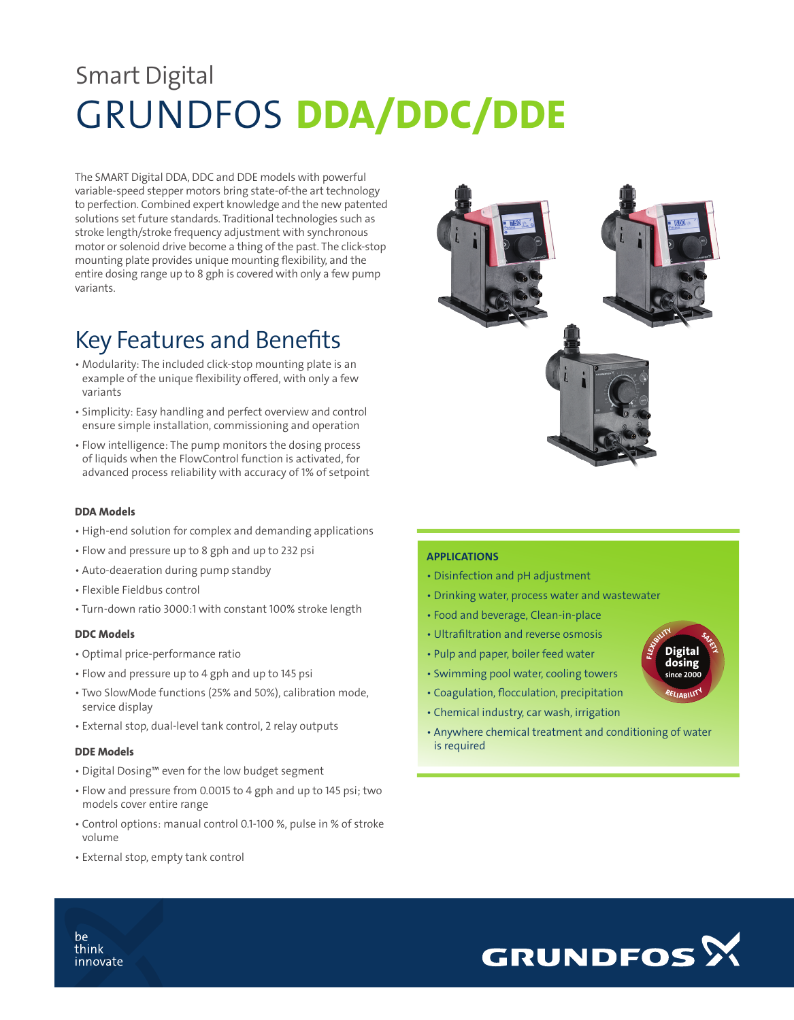# Smart Digital GRUNDFOS DDA/DDC/DDE

 The SMART Digital DDA, DDC and DDE models with powerful variable-speed stepper motors bring state-of-the art technology to perfection. Combined expert knowledge and the new patented solutions set future standards. Traditional technologies such as stroke length/stroke frequency adjustment with synchronous motor or solenoid drive become a thing of the past. The click-stop mounting plate provides unique mounting flexibility, and the entire dosing range up to 8 gph is covered with only a few pump variants.

### Key Features and Benefits

- Modularity: The included click-stop mounting plate is an example of the unique flexibility offered, with only a few variants
- Simplicity: Easy handling and perfect overview and control ensure simple installation, commissioning and operation
- Flow intelligence: The pump monitors the dosing process of liquids when the FlowControl function is activated, for advanced process reliability with accuracy of 1% of setpoint

#### DDA Models

- High-end solution for complex and demanding applications
- Flow and pressure up to 8 gph and up to 232 psi
- Auto-deaeration during pump standby
- Flexible Fieldbus control
- Turn-down ratio 3000:1 with constant 100% stroke length

#### DDC Models

- Optimal price-performance ratio
- Flow and pressure up to 4 gph and up to 145 psi
- Two SlowMode functions (25% and 50%), calibration mode, service display
- External stop, dual-level tank control, 2 relay outputs

#### DDE Models

- Digital Dosing™ even for the low budget segment
- Flow and pressure from 0.0015 to 4 gph and up to 145 psi; two models cover entire range
- Control options: manual control 0.1-100 %, pulse in % of stroke volume
- External stop, empty tank control

#### APPLICATIONS

- Disinfection and pH adjustment
- Drinking water, process water and wastewater
- Food and beverage, Clean-in-place
- Ultrafiltration and reverse osmosis
- Pulp and paper, boiler feed water
- Swimming pool water, cooling towers
- Coagulation, flocculation, precipitation
- Chemical industry, car wash, irrigation
- Anywhere chemical treatment and conditioning of water is required

Digital dosing since 2000

SAFETY

RELIABILITY

FLASHLITY



be think innovate